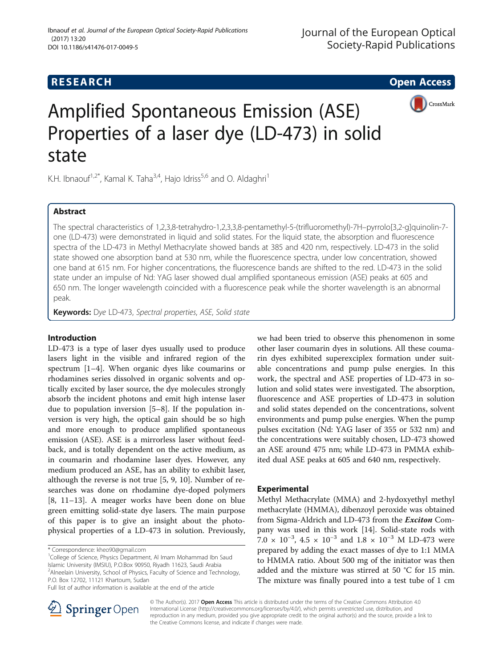# **RESEARCH CHE Open Access**



# Amplified Spontaneous Emission (ASE) Properties of a laser dye (LD-473) in solid state

K.H. Ibnaouf<sup>1,2\*</sup>, Kamal K. Taha<sup>3,4</sup>, Hajo Idriss<sup>5,6</sup> and O. Aldaghri<sup>1</sup>

### Abstract

The spectral characteristics of 1,2,3,8-tetrahydro-1,2,3,3,8-pentamethyl-5-(trifluoromethyl)-7H–pyrrolo[3,2-g]quinolin-7 one (LD-473) were demonstrated in liquid and solid states. For the liquid state, the absorption and fluorescence spectra of the LD-473 in Methyl Methacrylate showed bands at 385 and 420 nm, respectively. LD-473 in the solid state showed one absorption band at 530 nm, while the fluorescence spectra, under low concentration, showed one band at 615 nm. For higher concentrations, the fluorescence bands are shifted to the red. LD-473 in the solid state under an impulse of Nd: YAG laser showed dual amplified spontaneous emission (ASE) peaks at 605 and 650 nm. The longer wavelength coincided with a fluorescence peak while the shorter wavelength is an abnormal peak.

Keywords: Dye LD-473, Spectral properties, ASE, Solid state

#### Introduction

LD-473 is a type of laser dyes usually used to produce lasers light in the visible and infrared region of the spectrum [[1](#page-4-0)–[4](#page-4-0)]. When organic dyes like coumarins or rhodamines series dissolved in organic solvents and optically excited by laser source, the dye molecules strongly absorb the incident photons and emit high intense laser due to population inversion [[5](#page-4-0)–[8](#page-4-0)]. If the population inversion is very high, the optical gain should be so high and more enough to produce amplified spontaneous emission (ASE). ASE is a mirrorless laser without feedback, and is totally dependent on the active medium, as in coumarin and rhodamine laser dyes. However, any medium produced an ASE, has an ability to exhibit laser, although the reverse is not true [\[5](#page-4-0), [9](#page-4-0), [10](#page-4-0)]. Number of researches was done on rhodamine dye-doped polymers [[8, 11](#page-4-0)–[13\]](#page-4-0). A meager works have been done on blue green emitting solid-state dye lasers. The main purpose of this paper is to give an insight about the photophysical properties of a LD-473 in solution. Previously,

\* Correspondence: [kheo90@gmail.com](mailto:kheo90@gmail.com) <sup>1</sup>

<sup>1</sup>College of Science, Physics Department, Al Imam Mohammad Ibn Saud Islamic University (IMSIU), P.O.Box 90950, Riyadh 11623, Saudi Arabia <sup>2</sup> Alneelain University, School of Physics, Faculty of Science and Technology, P.O. Box 12702, 11121 Khartoum, Sudan

we had been tried to observe this phenomenon in some other laser coumarin dyes in solutions. All these coumarin dyes exhibited superexciplex formation under suitable concentrations and pump pulse energies. In this work, the spectral and ASE properties of LD-473 in solution and solid states were investigated. The absorption, fluorescence and ASE properties of LD-473 in solution and solid states depended on the concentrations, solvent environments and pump pulse energies. When the pump pulses excitation (Nd: YAG laser of 355 or 532 nm) and the concentrations were suitably chosen, LD-473 showed an ASE around 475 nm; while LD-473 in PMMA exhibited dual ASE peaks at 605 and 640 nm, respectively.

#### Experimental

Methyl Methacrylate (MMA) and 2-hydoxyethyl methyl methacrylate (HMMA), dibenzoyl peroxide was obtained from Sigma-Aldrich and LD-473 from the *Exciton* Company was used in this work [\[14](#page-4-0)]. Solid-state rods with  $7.0 \times 10^{-3}$ , 4.5 × 10<sup>-3</sup> and 1.8 × 10<sup>-3</sup> M LD-473 were prepared by adding the exact masses of dye to 1:1 MMA to HMMA ratio. About 500 mg of the initiator was then added and the mixture was stirred at 50 °C for 15 min. The mixture was finally poured into a test tube of 1 cm



© The Author(s). 2017 **Open Access** This article is distributed under the terms of the Creative Commons Attribution 4.0 International License ([http://creativecommons.org/licenses/by/4.0/\)](http://creativecommons.org/licenses/by/4.0/), which permits unrestricted use, distribution, and reproduction in any medium, provided you give appropriate credit to the original author(s) and the source, provide a link to the Creative Commons license, and indicate if changes were made.

Full list of author information is available at the end of the article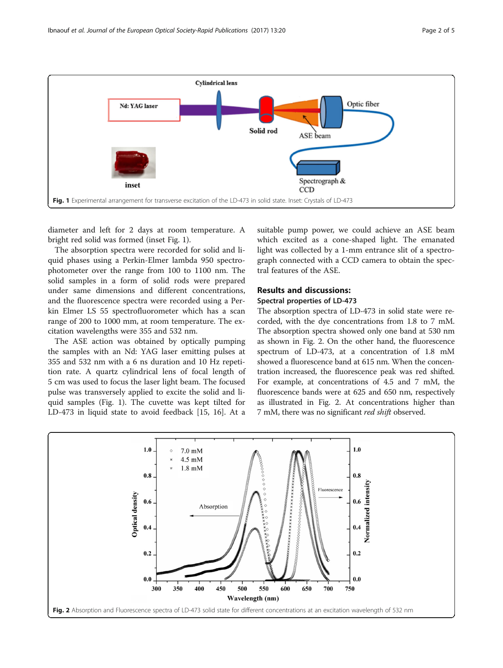<span id="page-1-0"></span>

diameter and left for 2 days at room temperature. A bright red solid was formed (inset Fig. 1).

The absorption spectra were recorded for solid and liquid phases using a Perkin-Elmer lambda 950 spectrophotometer over the range from 100 to 1100 nm. The solid samples in a form of solid rods were prepared under same dimensions and different concentrations, and the fluorescence spectra were recorded using a Perkin Elmer LS 55 spectrofluorometer which has a scan range of 200 to 1000 mm, at room temperature. The excitation wavelengths were 355 and 532 nm.

The ASE action was obtained by optically pumping the samples with an Nd: YAG laser emitting pulses at 355 and 532 nm with a 6 ns duration and 10 Hz repetition rate. A quartz cylindrical lens of focal length of 5 cm was used to focus the laser light beam. The focused pulse was transversely applied to excite the solid and liquid samples (Fig. 1). The cuvette was kept tilted for LD-473 in liquid state to avoid feedback [\[15](#page-4-0), [16](#page-4-0)]. At a

suitable pump power, we could achieve an ASE beam which excited as a cone-shaped light. The emanated light was collected by a 1-mm entrance slit of a spectrograph connected with a CCD camera to obtain the spectral features of the ASE.

#### Results and discussions:

#### Spectral properties of LD-473

The absorption spectra of LD-473 in solid state were recorded, with the dye concentrations from 1.8 to 7 mM. The absorption spectra showed only one band at 530 nm as shown in Fig. 2. On the other hand, the fluorescence spectrum of LD-473, at a concentration of 1.8 mM showed a fluorescence band at 615 nm. When the concentration increased, the fluorescence peak was red shifted. For example, at concentrations of 4.5 and 7 mM, the fluorescence bands were at 625 and 650 nm, respectively as illustrated in Fig. 2. At concentrations higher than 7 mM, there was no significant *red shift* observed.

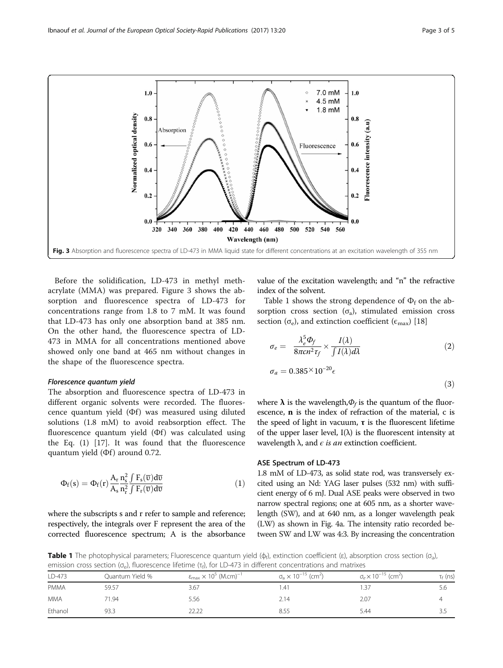

Before the solidification, LD-473 in methyl methacrylate (MMA) was prepared. Figure 3 shows the absorption and fluorescence spectra of LD-473 for concentrations range from 1.8 to 7 mM. It was found that LD-473 has only one absorption band at 385 nm. On the other hand, the fluorescence spectra of LD-473 in MMA for all concentrations mentioned above showed only one band at 465 nm without changes in the shape of the fluorescence spectra.

#### Florescence quantum yield

The absorption and fluorescence spectra of LD-473 in different organic solvents were recorded. The fluorescence quantum yield  $(\Phi f)$  was measured using diluted solutions (1.8 mM) to avoid reabsorption effect. The fluorescence quantum yield (Φf) was calculated using the Eq. (1) [[17](#page-4-0)]. It was found that the fluorescence quantum yield (Φf) around 0.72.

$$
\Phi_f(s) = \Phi_f(r) \frac{A_r}{A_s} \frac{n_s^2}{n_r^2} \frac{\int F_s(\overline{v}) d\overline{v}}{\int F_r(\overline{v}) d\overline{v}} \tag{1}
$$

where the subscripts s and r refer to sample and reference; respectively, the integrals over F represent the area of the corrected fluorescence spectrum; A is the absorbance value of the excitation wavelength; and "n" the refractive index of the solvent.

Table 1 shows the strong dependence of  $\Phi_f$  on the absorption cross section  $(\sigma_a)$ , stimulated emission cross section ( $\sigma_e$ ), and extinction coefficient ( $\epsilon_{\text{max}}$ ) [\[18](#page-4-0)]

$$
\sigma_e = \frac{\lambda_e^5 \Phi_f}{8\pi c n^2 \tau_f} \times \frac{I(\lambda)}{\int I(\lambda) d\lambda} \tag{2}
$$

$$
\sigma_a = 0.385 \times 10^{-20} \epsilon \tag{3}
$$

where  $\lambda$  is the wavelength,  $\Phi_f$  is the quantum of the fluorescence, n is the index of refraction of the material, c is the speed of light in vacuum,  $\tau$  is the fluorescent lifetime of the upper laser level,  $I(\lambda)$  is the fluorescent intensity at wavelength  $\lambda$ , and  $\epsilon$  is an extinction coefficient.

#### ASE Spectrum of LD-473

1.8 mM of LD-473, as solid state rod, was transversely excited using an Nd: YAG laser pulses (532 nm) with sufficient energy of 6 mJ. Dual ASE peaks were observed in two narrow spectral regions; one at 605 nm, as a shorter wavelength (SW), and at 640 nm, as a longer wavelength peak (LW) as shown in Fig. [4a](#page-3-0). The intensity ratio recorded between SW and LW was 4:3. By increasing the concentration

**Table 1** The photophysical parameters; Fluorescence quantum yield ( $\phi_f$ ), extinction coefficient (ε), absorption cross section ( $\sigma_a$ ), emission cross section (σ<sub>e</sub>), fluorescence lifetime (τ<sub>f</sub>), for LD-473 in different concentrations and matrixes

| LD-473      | Quantum Yield % | $\varepsilon_{\text{max}} \times 10^5$ (M.cm) <sup>-1</sup> | $\sigma_{\rm a} \times 10^{-15}$ (cm <sup>2</sup> ) | $\sigma_e \times 10^{-15}$ (cm <sup>2</sup> ) | $\tau_f$ (ns) |  |
|-------------|-----------------|-------------------------------------------------------------|-----------------------------------------------------|-----------------------------------------------|---------------|--|
| <b>PMMA</b> | 59.57           | 3.67                                                        | . 41                                                | .37                                           | 5.6           |  |
| <b>MMA</b>  | 71.94           | 5.56                                                        | 2.14                                                | 2.07                                          |               |  |
| Ethanol     | 93.3            | 22.22                                                       | 8.55                                                | 5.44                                          |               |  |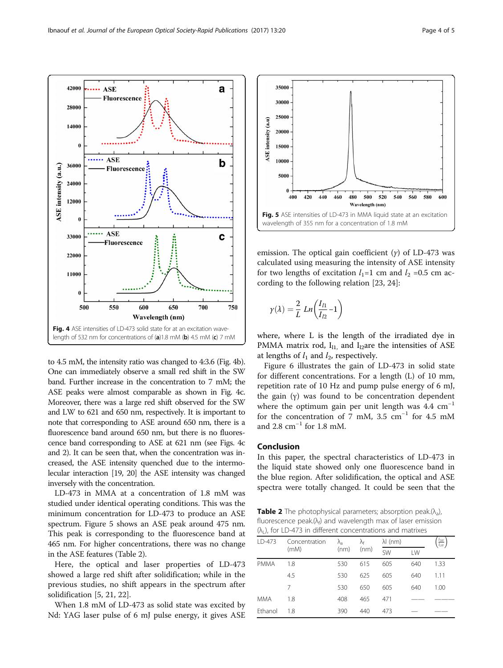<span id="page-3-0"></span>Ibnaouf et al. Journal of the European Optical Society-Rapid Publications (2017) 13:20



to 4.5 mM, the intensity ratio was changed to 4:3.6 (Fig. 4b). One can immediately observe a small red shift in the SW band. Further increase in the concentration to 7 mM; the ASE peaks were almost comparable as shown in Fig. 4c. Moreover, there was a large red shift observed for the SW and LW to 621 and 650 nm, respectively. It is important to note that corresponding to ASE around 650 nm, there is a fluorescence band around 650 nm, but there is no fluorescence band corresponding to ASE at 621 nm (see Figs. 4c and [2\)](#page-1-0). It can be seen that, when the concentration was increased, the ASE intensity quenched due to the intermolecular interaction [\[19](#page-4-0), [20](#page-4-0)] the ASE intensity was changed inversely with the concentration.

LD-473 in MMA at a concentration of 1.8 mM was studied under identical operating conditions. This was the minimum concentration for LD-473 to produce an ASE spectrum. Figure 5 shows an ASE peak around 475 nm. This peak is corresponding to the fluorescence band at 465 nm. For higher concentrations, there was no change in the ASE features (Table 2).

Here, the optical and laser properties of LD-473 showed a large red shift after solidification; while in the previous studies, no shift appears in the spectrum after solidification [\[5, 21, 22\]](#page-4-0).

When 1.8 mM of LD-473 as solid state was excited by Nd: YAG laser pulse of 6 mJ pulse energy, it gives ASE



emission. The optical gain coefficient  $(y)$  of LD-473 was calculated using measuring the intensity of ASE intensity for two lengths of excitation  $l_1=1$  cm and  $l_2 = 0.5$  cm according to the following relation [[23, 24\]](#page-4-0):

$$
\gamma(\lambda) = \frac{2}{L} Ln\left(\frac{I_{l1}}{I_{l2}} - 1\right)
$$

where, where L is the length of the irradiated dye in PMMA matrix rod,  $I_{11}$  and  $I_{12}$ are the intensities of ASE at lengths of  $l_1$  and  $l_2$ , respectively.

Figure [6](#page-4-0) illustrates the gain of LD-473 in solid state for different concentrations. For a length (L) of 10 mm, repetition rate of 10 Hz and pump pulse energy of 6 mJ, the gain (γ) was found to be concentration dependent where the optimum gain per unit length was  $4.4 \text{ cm}^{-1}$ for the concentration of 7 mM, 3.5  $cm^{-1}$  for 4.5 mM and 2.8 cm<sup>-1</sup> for 1.8 mM.

#### Conclusion

In this paper, the spectral characteristics of LD-473 in the liquid state showed only one fluorescence band in the blue region. After solidification, the optical and ASE spectra were totally changed. It could be seen that the

**Table 2** The photophysical parameters; absorption peak. $(\lambda_a)$ , fluorescence peak. $(\lambda_f)$  and wavelength max of laser emission  $(\lambda_1)$ , for LD-473 in different concentrations and matrixes

| LD-473      | Concentration | $\lambda_{\rm a}$ | λf<br>(nm) | $\lambda$ (nm) |     | $I_{SW}$<br>$l_{LW}$ |
|-------------|---------------|-------------------|------------|----------------|-----|----------------------|
|             | (mM)          | (nm)              |            | <b>SW</b>      | LW  |                      |
| <b>PMMA</b> | 1.8           | 530               | 615        | 605            | 640 | 1.33                 |
|             | 4.5           | 530               | 625        | 605            | 640 | 1.11                 |
|             | 7             | 530               | 650        | 605            | 640 | 1.00                 |
| <b>MMA</b>  | 1.8           | 408               | 465        | 471            |     |                      |
| Ethanol     | 1.8           | 390               | 440        | 473            |     |                      |
|             |               |                   |            |                |     |                      |